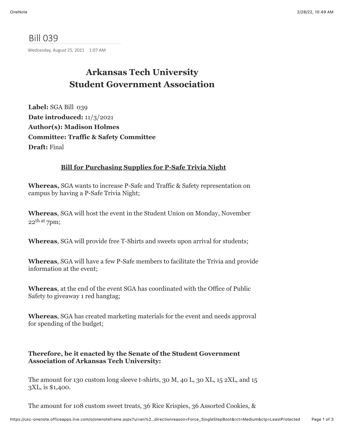## Bill 039

Wednesday, August 25, 2021 1:07 AM

# **Arkansas Tech University Student Government Association**

**Label:** SGA Bill 039 **Date introduced:** 11/3/2021 **Author(s): Madison Holmes Committee: Traffic & Safety Committee Draft:** Final

### **Bill for Purchasing Supplies for P-Safe Trivia Night**

**Whereas,** SGA wants to increase P-Safe and Traffic & Safety representation on campus by having a P-Safe Trivia Night;

**Whereas**, SGA will host the event in the Student Union on Monday, November  $22$ <sup>th at</sup> 7pm;

**Whereas**, SGA will provide free T-Shirts and sweets upon arrival for students;

**Whereas**, SGA will have a few P-Safe members to facilitate the Trivia and provide information at the event;

**Whereas**, at the end of the event SGA has coordinated with the Office of Public Safety to giveaway 1 red hangtag;

**Whereas**, SGA has created marketing materials for the event and needs approval for spending of the budget;

#### **Therefore, be it enacted by the Senate of the Student Government Association of Arkansas Tech University:**

The amount for 130 custom long sleeve t-shirts, 30 M, 40 L, 30 XL, 15 2XL, and 15 3XL, is \$1,400.

The amount for 108 custom sweet treats, 36 Rice Krispies, 36 Assorted Cookies, &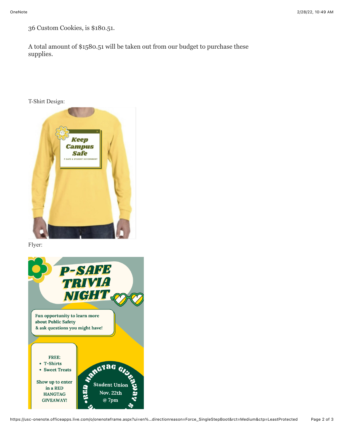36 Custom Cookies, is \$180.51.

A total amount of \$1580.51 will be taken out from our budget to purchase these supplies.

#### T-Shirt Design:



Flyer: